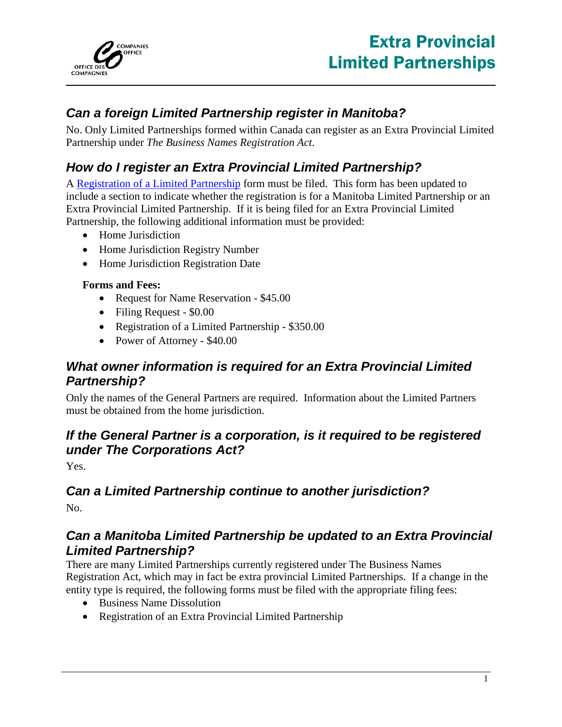

# *Can a foreign Limited Partnership register in Manitoba?*

No. Only Limited Partnerships formed within Canada can register as an Extra Provincial Limited Partnership under *The Business Names Registration Act*.

# *How do I register an Extra Provincial Limited Partnership?*

A [Registration of a Limited Partnership](http://www.companiesoffice.gov.mb.ca/forms/registration_of_a_limited_partnership.pdf) form must be filed. This form has been updated to include a section to indicate whether the registration is for a Manitoba Limited Partnership or an Extra Provincial Limited Partnership. If it is being filed for an Extra Provincial Limited Partnership, the following additional information must be provided:

- Home Jurisdiction
- Home Jurisdiction Registry Number
- Home Jurisdiction Registration Date

#### **Forms and Fees:**

- Request for Name Reservation \$45.00
- Filing Request \$0.00
- Registration of a Limited Partnership \$350.00
- Power of Attorney \$40.00

#### *What owner information is required for an Extra Provincial Limited Partnership?*

Only the names of the General Partners are required. Information about the Limited Partners must be obtained from the home jurisdiction.

#### *If the General Partner is a corporation, is it required to be registered under The Corporations Act?*

Yes.

### *Can a Limited Partnership continue to another jurisdiction?*

No.

#### *Can a Manitoba Limited Partnership be updated to an Extra Provincial Limited Partnership?*

There are many Limited Partnerships currently registered under The Business Names Registration Act, which may in fact be extra provincial Limited Partnerships. If a change in the entity type is required, the following forms must be filed with the appropriate filing fees:

- Business Name Dissolution
- Registration of an Extra Provincial Limited Partnership